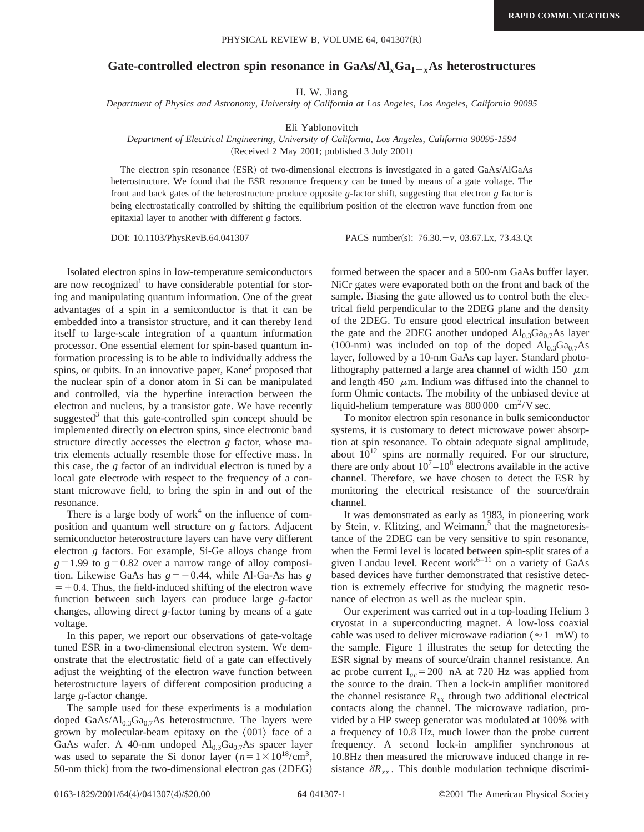## Gate-controlled electron spin resonance in  $GaAs/\Delta l_xGa_{1-x}As$  heterostructures

H. W. Jiang

*Department of Physics and Astronomy, University of California at Los Angeles, Los Angeles, California 90095*

Eli Yablonovitch

## *Department of Electrical Engineering, University of California, Los Angeles, California 90095-1594* (Received 2 May 2001; published 3 July 2001)

The electron spin resonance (ESR) of two-dimensional electrons is investigated in a gated GaAs/AlGaAs heterostructure. We found that the ESR resonance frequency can be tuned by means of a gate voltage. The front and back gates of the heterostructure produce opposite *g*-factor shift, suggesting that electron *g* factor is being electrostatically controlled by shifting the equilibrium position of the electron wave function from one epitaxial layer to another with different *g* factors.

DOI: 10.1103/PhysRevB.64.041307 PACS number(s): 76.30. - v, 03.67.Lx, 73.43.Qt

Isolated electron spins in low-temperature semiconductors are now recognized<sup> $\perp$ </sup> to have considerable potential for storing and manipulating quantum information. One of the great advantages of a spin in a semiconductor is that it can be embedded into a transistor structure, and it can thereby lend itself to large-scale integration of a quantum information processor. One essential element for spin-based quantum information processing is to be able to individually address the spins, or qubits. In an innovative paper, Kane<sup>2</sup> proposed that the nuclear spin of a donor atom in Si can be manipulated and controlled, via the hyperfine interaction between the electron and nucleus, by a transistor gate. We have recently suggested<sup>3</sup> that this gate-controlled spin concept should be implemented directly on electron spins, since electronic band structure directly accesses the electron *g* factor, whose matrix elements actually resemble those for effective mass. In this case, the *g* factor of an individual electron is tuned by a local gate electrode with respect to the frequency of a constant microwave field, to bring the spin in and out of the resonance.

There is a large body of work $4$  on the influence of composition and quantum well structure on *g* factors. Adjacent semiconductor heterostructure layers can have very different electron *g* factors. For example, Si-Ge alloys change from  $g=1.99$  to  $g=0.82$  over a narrow range of alloy composition. Likewise GaAs has  $g = -0.44$ , while Al-Ga-As has *g*  $=$  +0.4. Thus, the field-induced shifting of the electron wave function between such layers can produce large *g*-factor changes, allowing direct *g*-factor tuning by means of a gate voltage.

In this paper, we report our observations of gate-voltage tuned ESR in a two-dimensional electron system. We demonstrate that the electrostatic field of a gate can effectively adjust the weighting of the electron wave function between heterostructure layers of different composition producing a large *g*-factor change.

The sample used for these experiments is a modulation doped GaAs/Al<sub>0.3</sub>Ga<sub>0.7</sub>As heterostructure. The layers were grown by molecular-beam epitaxy on the  $\langle 001 \rangle$  face of a GaAs wafer. A 40-nm undoped  $\text{Al}_{0.3}\text{Ga}_{0.7}\text{As}$  spacer layer was used to separate the Si donor layer  $(n=1 \times 10^{18}/\text{cm}^3)$ , 50-nm thick) from the two-dimensional electron gas (2DEG) formed between the spacer and a 500-nm GaAs buffer layer. NiCr gates were evaporated both on the front and back of the sample. Biasing the gate allowed us to control both the electrical field perpendicular to the 2DEG plane and the density of the 2DEG. To ensure good electrical insulation between the gate and the 2DEG another undoped  $Al_{0.3}Ga_{0.7}As$  layer (100-nm) was included on top of the doped  $Al_{0.3}Ga_{0.7}As$ layer, followed by a 10-nm GaAs cap layer. Standard photolithography patterned a large area channel of width 150  $\mu$ m and length 450  $\mu$ m. Indium was diffused into the channel to form Ohmic contacts. The mobility of the unbiased device at liquid-helium temperature was  $800\,000 \text{ cm}^2/\text{V}$  sec.

To monitor electron spin resonance in bulk semiconductor systems, it is customary to detect microwave power absorption at spin resonance. To obtain adequate signal amplitude, about  $10^{12}$  spins are normally required. For our structure, there are only about  $10^7 - 10^8$  electrons available in the active channel. Therefore, we have chosen to detect the ESR by monitoring the electrical resistance of the source/drain channel.

It was demonstrated as early as 1983, in pioneering work by Stein, v. Klitzing, and Weimann, $<sup>5</sup>$  that the magnetoresis-</sup> tance of the 2DEG can be very sensitive to spin resonance, when the Fermi level is located between spin-split states of a given Landau level. Recent work $6-11$  on a variety of GaAs based devices have further demonstrated that resistive detection is extremely effective for studying the magnetic resonance of electron as well as the nuclear spin.

Our experiment was carried out in a top-loading Helium 3 cryostat in a superconducting magnet. A low-loss coaxial cable was used to deliver microwave radiation ( $\approx$  1 mW) to the sample. Figure 1 illustrates the setup for detecting the ESR signal by means of source/drain channel resistance. An ac probe current  $I_{ac}$ =200 nA at 720 Hz was applied from the source to the drain. Then a lock-in amplifier monitored the channel resistance  $R_{xx}$  through two additional electrical contacts along the channel. The microwave radiation, provided by a HP sweep generator was modulated at 100% with a frequency of 10.8 Hz, much lower than the probe current frequency. A second lock-in amplifier synchronous at 10.8Hz then measured the microwave induced change in resistance  $\delta R_{xx}$ . This double modulation technique discrimi-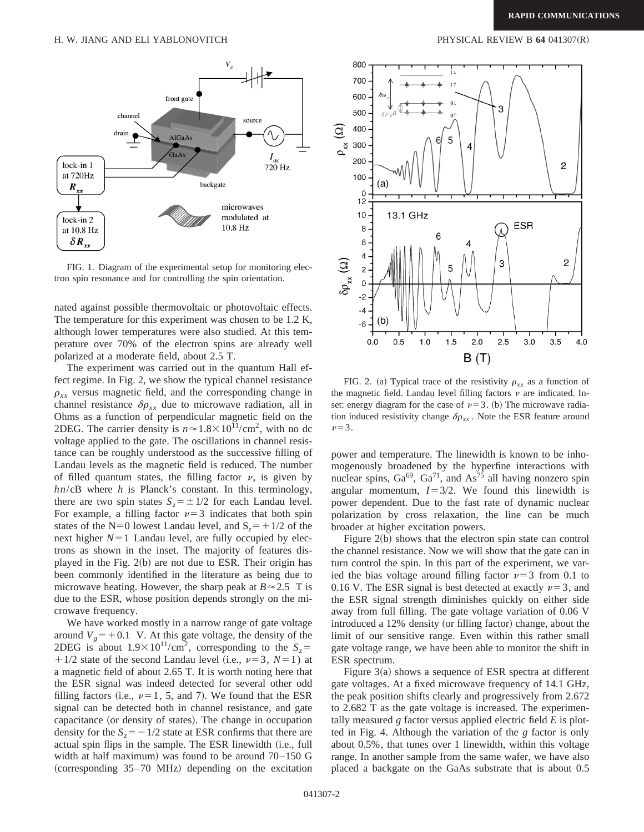

FIG. 1. Diagram of the experimental setup for monitoring electron spin resonance and for controlling the spin orientation.

nated against possible thermovoltaic or photovoltaic effects. The temperature for this experiment was chosen to be 1.2 K, although lower temperatures were also studied. At this temperature over 70% of the electron spins are already well polarized at a moderate field, about 2.5 T.

The experiment was carried out in the quantum Hall effect regime. In Fig. 2, we show the typical channel resistance  $\rho_{xx}$  versus magnetic field, and the corresponding change in channel resistance  $\delta \rho_{xx}$  due to microwave radiation, all in Ohms as a function of perpendicular magnetic field on the 2DEG. The carrier density is  $n \approx 1.8 \times 10^{11} / \text{cm}^2$ , with no dc voltage applied to the gate. The oscillations in channel resistance can be roughly understood as the successive filling of Landau levels as the magnetic field is reduced. The number of filled quantum states, the filling factor  $\nu$ , is given by *hn*/cB where *h* is Planck's constant. In this terminology, there are two spin states  $S_z = \pm 1/2$  for each Landau level. For example, a filling factor  $\nu=3$  indicates that both spin states of the N=0 lowest Landau level, and  $S_7 = +1/2$  of the next higher  $N=1$  Landau level, are fully occupied by electrons as shown in the inset. The majority of features displayed in the Fig.  $2(b)$  are not due to ESR. Their origin has been commonly identified in the literature as being due to microwave heating. However, the sharp peak at  $B \approx 2.5$  T is due to the ESR, whose position depends strongly on the microwave frequency.

We have worked mostly in a narrow range of gate voltage around  $V_g$ = +0.1 V. At this gate voltage, the density of the 2DEG is about  $1.9 \times 10^{11}/\text{cm}^2$ , corresponding to the *S<sub>z</sub>*=  $1/2$  state of the second Landau level (i.e.,  $\nu=3$ ,  $N=1$ ) at a magnetic field of about 2.65 T. It is worth noting here that the ESR signal was indeed detected for several other odd filling factors (i.e.,  $\nu=1, 5,$  and 7). We found that the ESR signal can be detected both in channel resistance, and gate capacitance (or density of states). The change in occupation density for the  $S_z = -1/2$  state at ESR confirms that there are actual spin flips in the sample. The ESR linewidth (i.e., full width at half maximum) was found to be around  $70-150$  G  $(corresponding 35–70 MHz)$  depending on the excitation



FIG. 2. (a) Typical trace of the resistivity  $\rho_{xx}$  as a function of the magnetic field. Landau level filling factors  $\nu$  are indicated. Inset: energy diagram for the case of  $\nu=3$ . (b) The microwave radiation induced resistivity change  $\delta \rho_{xx}$ . Note the ESR feature around  $\nu=3$ .

power and temperature. The linewidth is known to be inhomogenously broadened by the hyperfine interactions with nuclear spins,  $Ga^{69}$ ,  $Ga^{71}$ , and  $As^{75}$  all having nonzero spin angular momentum,  $I=3/2$ . We found this linewidth is power dependent. Due to the fast rate of dynamic nuclear polarization by cross relaxation, the line can be much broader at higher excitation powers.

Figure  $2(b)$  shows that the electron spin state can control the channel resistance. Now we will show that the gate can in turn control the spin. In this part of the experiment, we varied the bias voltage around filling factor  $\nu=3$  from 0.1 to 0.16 V. The ESR signal is best detected at exactly  $\nu=3$ , and the ESR signal strength diminishes quickly on either side away from full filling. The gate voltage variation of 0.06 V introduced a 12% density (or filling factor) change, about the limit of our sensitive range. Even within this rather small gate voltage range, we have been able to monitor the shift in ESR spectrum.

Figure  $3(a)$  shows a sequence of ESR spectra at different gate voltages. At a fixed microwave frequency of 14.1 GHz, the peak position shifts clearly and progressively from 2.672 to 2.682 T as the gate voltage is increased. The experimentally measured *g* factor versus applied electric field *E* is plotted in Fig. 4. Although the variation of the *g* factor is only about 0.5%, that tunes over 1 linewidth, within this voltage range. In another sample from the same wafer, we have also placed a backgate on the GaAs substrate that is about 0.5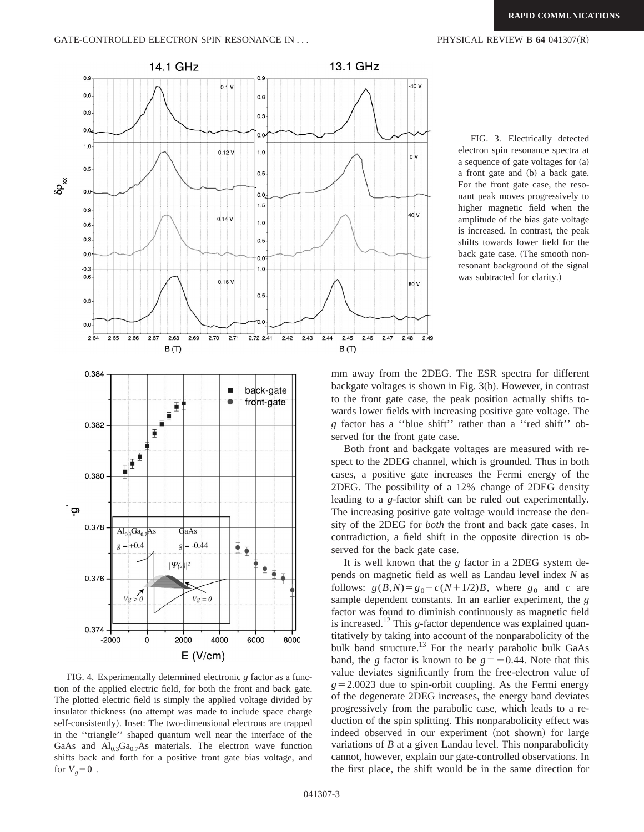



FIG. 4. Experimentally determined electronic *g* factor as a function of the applied electric field, for both the front and back gate. The plotted electric field is simply the applied voltage divided by insulator thickness (no attempt was made to include space charge self-consistently). Inset: The two-dimensional electrons are trapped in the ''triangle'' shaped quantum well near the interface of the GaAs and  $Al_{0.3}Ga_{0.7}As$  materials. The electron wave function shifts back and forth for a positive front gate bias voltage, and for  $V_g=0$ .

FIG. 3. Electrically detected electron spin resonance spectra at a sequence of gate voltages for (a) a front gate and (b) a back gate. For the front gate case, the resonant peak moves progressively to higher magnetic field when the amplitude of the bias gate voltage is increased. In contrast, the peak shifts towards lower field for the

back gate case. (The smooth nonresonant background of the signal was subtracted for clarity.)

mm away from the 2DEG. The ESR spectra for different backgate voltages is shown in Fig.  $3(b)$ . However, in contrast to the front gate case, the peak position actually shifts towards lower fields with increasing positive gate voltage. The *g* factor has a ''blue shift'' rather than a ''red shift'' observed for the front gate case.

Both front and backgate voltages are measured with respect to the 2DEG channel, which is grounded. Thus in both cases, a positive gate increases the Fermi energy of the 2DEG. The possibility of a 12% change of 2DEG density leading to a *g*-factor shift can be ruled out experimentally. The increasing positive gate voltage would increase the density of the 2DEG for *both* the front and back gate cases. In contradiction, a field shift in the opposite direction is observed for the back gate case.

It is well known that the *g* factor in a 2DEG system depends on magnetic field as well as Landau level index *N* as follows:  $g(B,N) = g_0 - c(N+1/2)B$ , where  $g_0$  and *c* are sample dependent constants. In an earlier experiment, the *g* factor was found to diminish continuously as magnetic field is increased.<sup>12</sup> This *g*-factor dependence was explained quantitatively by taking into account of the nonparabolicity of the bulk band structure.<sup>13</sup> For the nearly parabolic bulk GaAs band, the *g* factor is known to be  $g = -0.44$ . Note that this value deviates significantly from the free-electron value of  $g=2.0023$  due to spin-orbit coupling. As the Fermi energy of the degenerate 2DEG increases, the energy band deviates progressively from the parabolic case, which leads to a reduction of the spin splitting. This nonparabolicity effect was indeed observed in our experiment (not shown) for large variations of *B* at a given Landau level. This nonparabolicity cannot, however, explain our gate-controlled observations. In the first place, the shift would be in the same direction for